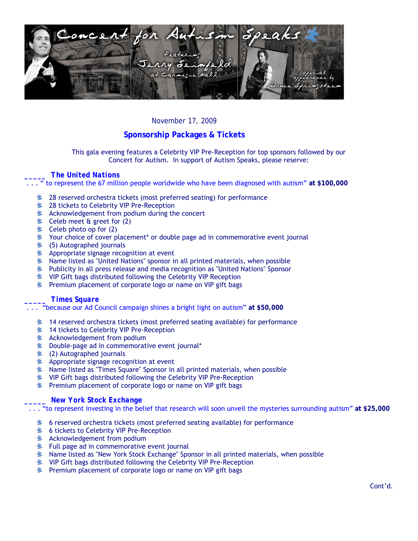

## *November 17, 2009*

# **Sponsorship Packages & Tickets**

This gala evening features a Celebrity VIP Pre-Reception for top sponsors followed by our Concert for Autism. In support of Autism Speaks, please reserve:

### *\_\_\_\_\_ The United Nations*

. . . " to represent the 67 million people worldwide who have been diagnosed with autism" **at \$100,000**

- **28** reserved orchestra tickets (most preferred seating) for performance
- **28 tickets to Celebrity VIP Pre-Reception**
- **Acknowledgement from podium during the concert**
- $\triangle$  Celeb meet & greet for (2)
- $\triangle$  Celeb photo op for (2)
- $\blacktriangleright$  Your choice of cover placement<sup>\*</sup> or double page ad in commemorative event journal
- $\blacktriangleright$  (5) Autographed journals
- **Appropriate signage recognition at event**
- $\blacktriangleright$  Name listed as "United Nations" sponsor in all printed materials, when possible
- **E** Publicity in all press release and media recognition as "United Nations" Sponsor
- **EXECUTE:** VIP Gift bags distributed following the Celebrity VIP Reception
- **Premium placement of corporate logo or name on VIP gift bags**

### *\_\_\_\_\_ Times Square*

. . . "because our Ad Council campaign shines a bright light on autism" **at \$50,000** 

- $\blacktriangleright$  14 reserved orchestra tickets (most preferred seating available) for performance
- **14 tickets to Celebrity VIP Pre-Reception**
- **Acknowledgement from podium**
- **Lacks** Double-page ad in commemorative event journal\*
- $\triangleq$  (2) Autographed journals
- **Appropriate signage recognition at event**
- **L** Name listed as "Times Square" Sponsor in all printed materials, when possible
- **\*** VIP Gift bags distributed following the Celebrity VIP Pre-Reception
- **EXECUTE:** Premium placement of corporate logo or name on VIP gift bags

### *\_\_\_\_\_ New York Stock Exchange*

. . . "to represent investing in the belief that research will soon unveil the mysteries surrounding autism" **at \$25,000** 

- $\bullet$  6 reserved orchestra tickets (most preferred seating available) for performance
- **<sup>** $\bullet$ **</sup> 6 tickets to Celebrity VIP Pre-Reception**
- **A** Acknowledgement from podium
- $\blacktriangleright$  Full page ad in commemorative event journal
- **X** Name listed as "New York Stock Exchange" Sponsor in all printed materials, when possible
- **\*** VIP Gift bags distributed following the Celebrity VIP Pre-Reception
- **EXECUTE:** Premium placement of corporate logo or name on VIP gift bags